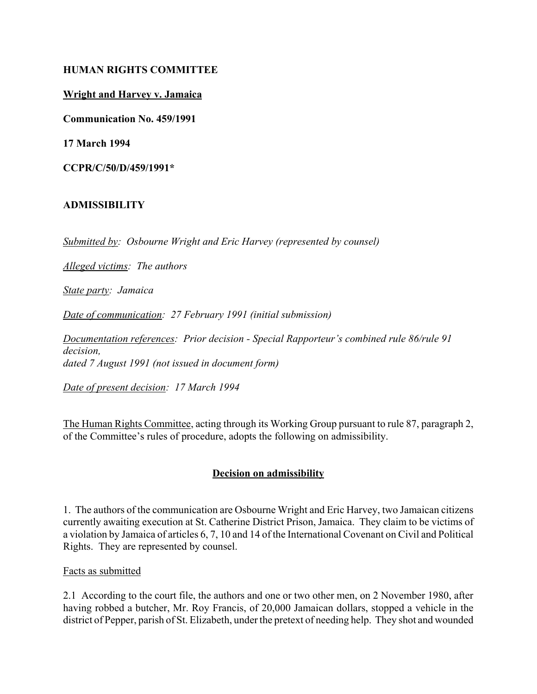## **HUMAN RIGHTS COMMITTEE**

## **Wright and Harvey v. Jamaica**

**Communication No. 459/1991**

**17 March 1994**

**CCPR/C/50/D/459/1991\***

### **ADMISSIBILITY**

*Submitted by: Osbourne Wright and Eric Harvey (represented by counsel)*

*Alleged victims: The authors*

*State party: Jamaica*

*Date of communication: 27 February 1991 (initial submission)*

*Documentation references: Prior decision - Special Rapporteur's combined rule 86/rule 91 decision, dated 7 August 1991 (not issued in document form)*

*Date of present decision: 17 March 1994*

The Human Rights Committee, acting through its Working Group pursuant to rule 87, paragraph 2, of the Committee's rules of procedure, adopts the following on admissibility.

## **Decision on admissibility**

1. The authors of the communication are Osbourne Wright and Eric Harvey, two Jamaican citizens currently awaiting execution at St. Catherine District Prison, Jamaica. They claim to be victims of a violation by Jamaica of articles 6, 7, 10 and 14 of the International Covenant on Civil and Political Rights. They are represented by counsel.

#### Facts as submitted

2.1 According to the court file, the authors and one or two other men, on 2 November 1980, after having robbed a butcher, Mr. Roy Francis, of 20,000 Jamaican dollars, stopped a vehicle in the district of Pepper, parish of St. Elizabeth, under the pretext of needing help. They shot and wounded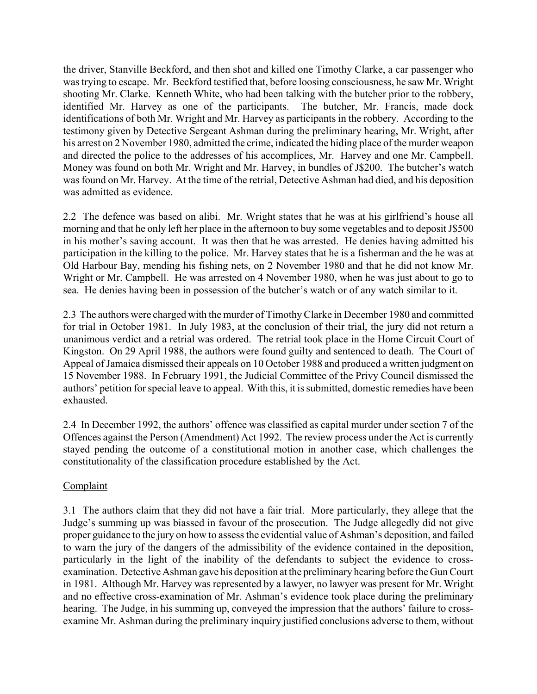the driver, Stanville Beckford, and then shot and killed one Timothy Clarke, a car passenger who was trying to escape. Mr. Beckford testified that, before loosing consciousness, he saw Mr. Wright shooting Mr. Clarke. Kenneth White, who had been talking with the butcher prior to the robbery, identified Mr. Harvey as one of the participants. The butcher, Mr. Francis, made dock identifications of both Mr. Wright and Mr. Harvey as participants in the robbery. According to the testimony given by Detective Sergeant Ashman during the preliminary hearing, Mr. Wright, after his arrest on 2 November 1980, admitted the crime, indicated the hiding place of the murder weapon and directed the police to the addresses of his accomplices, Mr. Harvey and one Mr. Campbell. Money was found on both Mr. Wright and Mr. Harvey, in bundles of J\$200. The butcher's watch was found on Mr. Harvey. At the time of the retrial, Detective Ashman had died, and his deposition was admitted as evidence.

2.2 The defence was based on alibi. Mr. Wright states that he was at his girlfriend's house all morning and that he only left her place in the afternoon to buy some vegetables and to deposit J\$500 in his mother's saving account. It was then that he was arrested. He denies having admitted his participation in the killing to the police. Mr. Harvey states that he is a fisherman and the he was at Old Harbour Bay, mending his fishing nets, on 2 November 1980 and that he did not know Mr. Wright or Mr. Campbell. He was arrested on 4 November 1980, when he was just about to go to sea. He denies having been in possession of the butcher's watch or of any watch similar to it.

2.3 The authors were charged with the murder of Timothy Clarke in December 1980 and committed for trial in October 1981. In July 1983, at the conclusion of their trial, the jury did not return a unanimous verdict and a retrial was ordered. The retrial took place in the Home Circuit Court of Kingston. On 29 April 1988, the authors were found guilty and sentenced to death. The Court of Appeal of Jamaica dismissed their appeals on 10 October 1988 and produced a written judgment on 15 November 1988. In February 1991, the Judicial Committee of the Privy Council dismissed the authors' petition for special leave to appeal. With this, it is submitted, domestic remedies have been exhausted.

2.4 In December 1992, the authors' offence was classified as capital murder under section 7 of the Offences against the Person (Amendment) Act 1992. The review process under the Act is currently stayed pending the outcome of a constitutional motion in another case, which challenges the constitutionality of the classification procedure established by the Act.

## **Complaint**

3.1 The authors claim that they did not have a fair trial. More particularly, they allege that the Judge's summing up was biassed in favour of the prosecution. The Judge allegedly did not give proper guidance to the jury on how to assess the evidential value of Ashman's deposition, and failed to warn the jury of the dangers of the admissibility of the evidence contained in the deposition, particularly in the light of the inability of the defendants to subject the evidence to crossexamination. Detective Ashman gave his deposition at the preliminary hearing before the Gun Court in 1981. Although Mr. Harvey was represented by a lawyer, no lawyer was present for Mr. Wright and no effective cross-examination of Mr. Ashman's evidence took place during the preliminary hearing. The Judge, in his summing up, conveyed the impression that the authors' failure to crossexamine Mr. Ashman during the preliminary inquiry justified conclusions adverse to them, without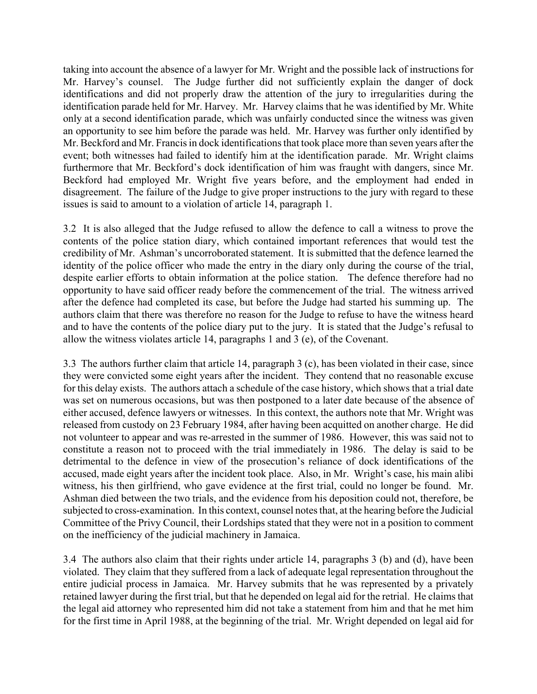taking into account the absence of a lawyer for Mr. Wright and the possible lack of instructions for Mr. Harvey's counsel. The Judge further did not sufficiently explain the danger of dock identifications and did not properly draw the attention of the jury to irregularities during the identification parade held for Mr. Harvey. Mr. Harvey claims that he was identified by Mr. White only at a second identification parade, which was unfairly conducted since the witness was given an opportunity to see him before the parade was held. Mr. Harvey was further only identified by Mr. Beckford and Mr. Francis in dock identifications that took place more than seven years after the event; both witnesses had failed to identify him at the identification parade. Mr. Wright claims furthermore that Mr. Beckford's dock identification of him was fraught with dangers, since Mr. Beckford had employed Mr. Wright five years before, and the employment had ended in disagreement. The failure of the Judge to give proper instructions to the jury with regard to these issues is said to amount to a violation of article 14, paragraph 1.

3.2 It is also alleged that the Judge refused to allow the defence to call a witness to prove the contents of the police station diary, which contained important references that would test the credibility of Mr. Ashman's uncorroborated statement. It is submitted that the defence learned the identity of the police officer who made the entry in the diary only during the course of the trial, despite earlier efforts to obtain information at the police station. The defence therefore had no opportunity to have said officer ready before the commencement of the trial. The witness arrived after the defence had completed its case, but before the Judge had started his summing up. The authors claim that there was therefore no reason for the Judge to refuse to have the witness heard and to have the contents of the police diary put to the jury. It is stated that the Judge's refusal to allow the witness violates article 14, paragraphs 1 and 3 (e), of the Covenant.

3.3 The authors further claim that article 14, paragraph 3 (c), has been violated in their case, since they were convicted some eight years after the incident. They contend that no reasonable excuse for this delay exists. The authors attach a schedule of the case history, which shows that a trial date was set on numerous occasions, but was then postponed to a later date because of the absence of either accused, defence lawyers or witnesses. In this context, the authors note that Mr. Wright was released from custody on 23 February 1984, after having been acquitted on another charge. He did not volunteer to appear and was re-arrested in the summer of 1986. However, this was said not to constitute a reason not to proceed with the trial immediately in 1986. The delay is said to be detrimental to the defence in view of the prosecution's reliance of dock identifications of the accused, made eight years after the incident took place. Also, in Mr. Wright's case, his main alibi witness, his then girlfriend, who gave evidence at the first trial, could no longer be found. Mr. Ashman died between the two trials, and the evidence from his deposition could not, therefore, be subjected to cross-examination. In this context, counsel notes that, at the hearing before the Judicial Committee of the Privy Council, their Lordships stated that they were not in a position to comment on the inefficiency of the judicial machinery in Jamaica.

3.4 The authors also claim that their rights under article 14, paragraphs 3 (b) and (d), have been violated. They claim that they suffered from a lack of adequate legal representation throughout the entire judicial process in Jamaica. Mr. Harvey submits that he was represented by a privately retained lawyer during the first trial, but that he depended on legal aid for the retrial. He claims that the legal aid attorney who represented him did not take a statement from him and that he met him for the first time in April 1988, at the beginning of the trial. Mr. Wright depended on legal aid for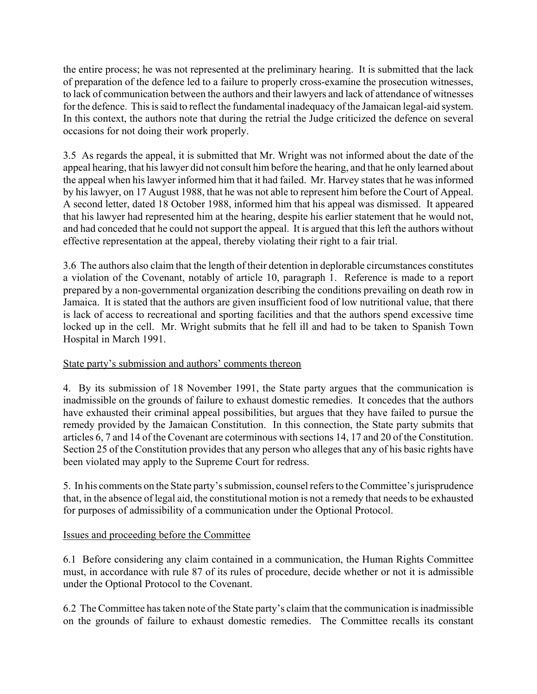the entire process; he was not represented at the preliminary hearing. It is submitted that the lack of preparation of the defence led to a failure to properly cross-examine the prosecution witnesses, to lack of communication between the authors and their lawyers and lack of attendance of witnesses for the defence. This is said to reflect the fundamental inadequacy of the Jamaican legal-aid system. In this context, the authors note that during the retrial the Judge criticized the defence on several occasions for not doing their work properly.

3.5 As regards the appeal, it is submitted that Mr. Wright was not informed about the date of the appeal hearing, that his lawyer did not consult him before the hearing, and that he only learned about the appeal when his lawyer informed him that it had failed. Mr. Harvey states that he was informed by his lawyer, on 17 August 1988, that he was not able to represent him before the Court of Appeal. A second letter, dated 18 October 1988, informed him that his appeal was dismissed. It appeared that his lawyer had represented him at the hearing, despite his earlier statement that he would not, and had conceded that he could not support the appeal. It is argued that this left the authors without effective representation at the appeal, thereby violating their right to a fair trial.

3.6 The authors also claim that the length of their detention in deplorable circumstances constitutes a violation of the Covenant, notably of article 10, paragraph 1. Reference is made to a report prepared by a non-governmental organization describing the conditions prevailing on death row in Jamaica. It is stated that the authors are given insufficient food of low nutritional value, that there is lack of access to recreational and sporting facilities and that the authors spend excessive time locked up in the cell. Mr. Wright submits that he fell ill and had to be taken to Spanish Town Hospital in March 1991.

# State party's submission and authors' comments thereon

4. By its submission of 18 November 1991, the State party argues that the communication is inadmissible on the grounds of failure to exhaust domestic remedies. It concedes that the authors have exhausted their criminal appeal possibilities, but argues that they have failed to pursue the remedy provided by the Jamaican Constitution. In this connection, the State party submits that articles 6, 7 and 14 of the Covenant are coterminous with sections 14, 17 and 20 of the Constitution. Section 25 of the Constitution provides that any person who alleges that any of his basic rights have been violated may apply to the Supreme Court for redress.

5. In his comments on the State party's submission, counsel refers to the Committee's jurisprudence that, in the absence of legal aid, the constitutional motion is not a remedy that needs to be exhausted for purposes of admissibility of a communication under the Optional Protocol.

# Issues and proceeding before the Committee

6.1 Before considering any claim contained in a communication, the Human Rights Committee must, in accordance with rule 87 of its rules of procedure, decide whether or not it is admissible under the Optional Protocol to the Covenant.

6.2 The Committee has taken note of the State party's claim that the communication is inadmissible on the grounds of failure to exhaust domestic remedies. The Committee recalls its constant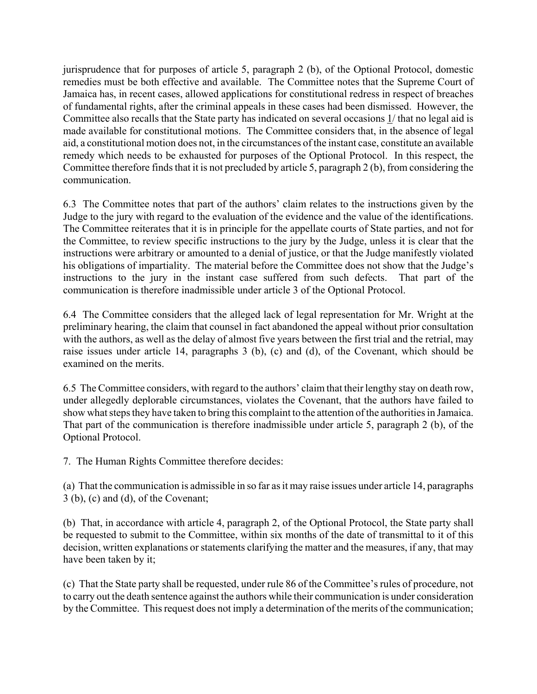jurisprudence that for purposes of article 5, paragraph 2 (b), of the Optional Protocol, domestic remedies must be both effective and available. The Committee notes that the Supreme Court of Jamaica has, in recent cases, allowed applications for constitutional redress in respect of breaches of fundamental rights, after the criminal appeals in these cases had been dismissed. However, the Committee also recalls that the State party has indicated on several occasions 1/ that no legal aid is made available for constitutional motions. The Committee considers that, in the absence of legal aid, a constitutional motion does not, in the circumstances of the instant case, constitute an available remedy which needs to be exhausted for purposes of the Optional Protocol. In this respect, the Committee therefore finds that it is not precluded by article 5, paragraph 2 (b), from considering the communication.

6.3 The Committee notes that part of the authors' claim relates to the instructions given by the Judge to the jury with regard to the evaluation of the evidence and the value of the identifications. The Committee reiterates that it is in principle for the appellate courts of State parties, and not for the Committee, to review specific instructions to the jury by the Judge, unless it is clear that the instructions were arbitrary or amounted to a denial of justice, or that the Judge manifestly violated his obligations of impartiality. The material before the Committee does not show that the Judge's instructions to the jury in the instant case suffered from such defects. That part of the communication is therefore inadmissible under article 3 of the Optional Protocol.

6.4 The Committee considers that the alleged lack of legal representation for Mr. Wright at the preliminary hearing, the claim that counsel in fact abandoned the appeal without prior consultation with the authors, as well as the delay of almost five years between the first trial and the retrial, may raise issues under article 14, paragraphs 3 (b), (c) and (d), of the Covenant, which should be examined on the merits.

6.5 The Committee considers, with regard to the authors' claim that their lengthy stay on death row, under allegedly deplorable circumstances, violates the Covenant, that the authors have failed to show what steps they have taken to bring this complaint to the attention of the authorities in Jamaica. That part of the communication is therefore inadmissible under article 5, paragraph 2 (b), of the Optional Protocol.

7. The Human Rights Committee therefore decides:

(a) That the communication is admissible in so far as it may raise issues under article 14, paragraphs 3 (b), (c) and (d), of the Covenant;

(b) That, in accordance with article 4, paragraph 2, of the Optional Protocol, the State party shall be requested to submit to the Committee, within six months of the date of transmittal to it of this decision, written explanations or statements clarifying the matter and the measures, if any, that may have been taken by it;

(c) That the State party shall be requested, under rule 86 of the Committeeís rules of procedure, not to carry out the death sentence against the authors while their communication is under consideration by the Committee. This request does not imply a determination of the merits of the communication;